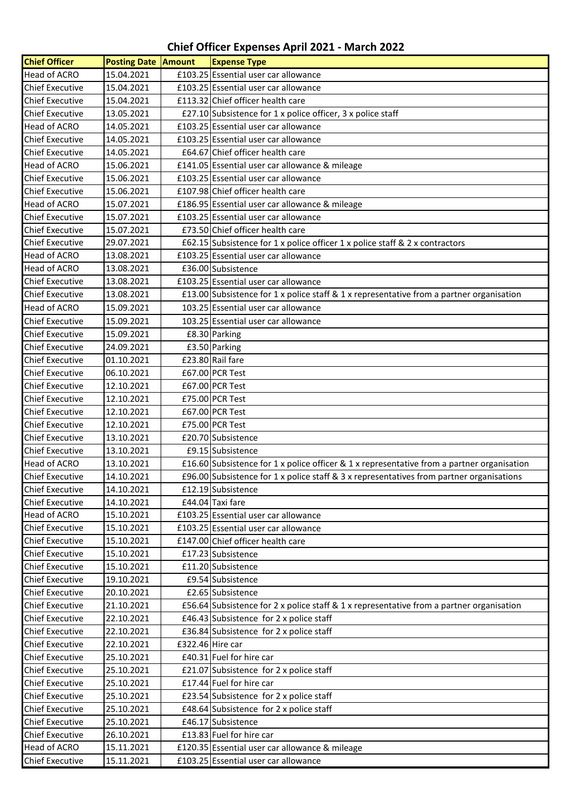## **Chief Officer Expenses April 2021 - March 2022**

| <b>Chief Officer</b>   | <b>Posting Date Amount</b> |                  | <b>Expense Type</b>                                                                        |
|------------------------|----------------------------|------------------|--------------------------------------------------------------------------------------------|
| <b>Head of ACRO</b>    | 15.04.2021                 |                  | £103.25 Essential user car allowance                                                       |
| <b>Chief Executive</b> | 15.04.2021                 |                  | £103.25 Essential user car allowance                                                       |
| <b>Chief Executive</b> | 15.04.2021                 |                  | £113.32 Chief officer health care                                                          |
| <b>Chief Executive</b> | 13.05.2021                 |                  | £27.10 Subsistence for 1 x police officer, 3 x police staff                                |
| <b>Head of ACRO</b>    | 14.05.2021                 |                  | £103.25 Essential user car allowance                                                       |
| <b>Chief Executive</b> | 14.05.2021                 |                  | £103.25 Essential user car allowance                                                       |
| <b>Chief Executive</b> | 14.05.2021                 |                  | £64.67 Chief officer health care                                                           |
| <b>Head of ACRO</b>    | 15.06.2021                 |                  | £141.05 Essential user car allowance & mileage                                             |
| <b>Chief Executive</b> | 15.06.2021                 |                  | £103.25 Essential user car allowance                                                       |
| <b>Chief Executive</b> | 15.06.2021                 |                  | £107.98 Chief officer health care                                                          |
| <b>Head of ACRO</b>    | 15.07.2021                 |                  | £186.95 Essential user car allowance & mileage                                             |
| <b>Chief Executive</b> | 15.07.2021                 |                  | £103.25 Essential user car allowance                                                       |
| <b>Chief Executive</b> | 15.07.2021                 |                  | £73.50 Chief officer health care                                                           |
| <b>Chief Executive</b> | 29.07.2021                 |                  | £62.15 Subsistence for 1 x police officer 1 x police staff & 2 x contractors               |
| Head of ACRO           | 13.08.2021                 |                  | £103.25 Essential user car allowance                                                       |
| Head of ACRO           | 13.08.2021                 |                  | £36.00 Subsistence                                                                         |
| <b>Chief Executive</b> | 13.08.2021                 |                  | £103.25 Essential user car allowance                                                       |
| <b>Chief Executive</b> | 13.08.2021                 |                  | £13.00 Subsistence for 1 x police staff & 1 x representative from a partner organisation   |
| <b>Head of ACRO</b>    | 15.09.2021                 |                  | 103.25 Essential user car allowance                                                        |
| <b>Chief Executive</b> | 15.09.2021                 |                  | 103.25 Essential user car allowance                                                        |
| <b>Chief Executive</b> | 15.09.2021                 |                  | £8.30 Parking                                                                              |
| <b>Chief Executive</b> | 24.09.2021                 |                  | £3.50 Parking                                                                              |
| <b>Chief Executive</b> | 01.10.2021                 |                  | £23.80 Rail fare                                                                           |
| <b>Chief Executive</b> | 06.10.2021                 |                  | £67.00 PCR Test                                                                            |
| <b>Chief Executive</b> | 12.10.2021                 |                  | £67.00 PCR Test                                                                            |
| <b>Chief Executive</b> | 12.10.2021                 |                  | £75.00 PCR Test                                                                            |
| <b>Chief Executive</b> | 12.10.2021                 |                  | £67.00 PCR Test                                                                            |
| <b>Chief Executive</b> | 12.10.2021                 |                  | £75.00 PCR Test                                                                            |
| <b>Chief Executive</b> | 13.10.2021                 |                  | £20.70 Subsistence                                                                         |
| <b>Chief Executive</b> | 13.10.2021                 |                  | £9.15 Subsistence                                                                          |
| Head of ACRO           | 13.10.2021                 |                  | £16.60 Subsistence for 1 x police officer & 1 x representative from a partner organisation |
| <b>Chief Executive</b> | 14.10.2021                 |                  | £96.00 Subsistence for 1 x police staff & 3 x representatives from partner organisations   |
| <b>Chief Executive</b> | 14.10.2021                 |                  | £12.19 Subsistence                                                                         |
| <b>Chief Executive</b> | 14.10.2021                 |                  | £44.04 Taxi fare                                                                           |
| <b>Head of ACRO</b>    | 15.10.2021                 |                  | £103.25 Essential user car allowance                                                       |
| <b>Chief Executive</b> | 15.10.2021                 |                  | £103.25 Essential user car allowance                                                       |
| <b>Chief Executive</b> | 15.10.2021                 |                  | £147.00 Chief officer health care                                                          |
| <b>Chief Executive</b> | 15.10.2021                 |                  | £17.23 Subsistence                                                                         |
| <b>Chief Executive</b> | 15.10.2021                 |                  | £11.20 Subsistence                                                                         |
| <b>Chief Executive</b> | 19.10.2021                 |                  | £9.54 Subsistence                                                                          |
| <b>Chief Executive</b> | 20.10.2021                 |                  | £2.65 Subsistence                                                                          |
| <b>Chief Executive</b> | 21.10.2021                 |                  | £56.64 Subsistence for 2 x police staff & 1 x representative from a partner organisation   |
| <b>Chief Executive</b> | 22.10.2021                 |                  | £46.43 Subsistence for $2 \times$ police staff                                             |
| <b>Chief Executive</b> | 22.10.2021                 |                  | £36.84 Subsistence for 2 x police staff                                                    |
| <b>Chief Executive</b> | 22.10.2021                 | £322.46 Hire car |                                                                                            |
| <b>Chief Executive</b> | 25.10.2021                 |                  | £40.31 Fuel for hire car                                                                   |
| <b>Chief Executive</b> | 25.10.2021                 |                  | £21.07 Subsistence for 2 x police staff                                                    |
| <b>Chief Executive</b> | 25.10.2021                 |                  | £17.44 Fuel for hire car                                                                   |
| <b>Chief Executive</b> | 25.10.2021                 |                  | £23.54 Subsistence for 2 x police staff                                                    |
| <b>Chief Executive</b> | 25.10.2021                 |                  | £48.64 Subsistence for 2 x police staff                                                    |
| <b>Chief Executive</b> | 25.10.2021                 |                  | £46.17 Subsistence                                                                         |
| <b>Chief Executive</b> | 26.10.2021                 |                  | £13.83 Fuel for hire car                                                                   |
| Head of ACRO           | 15.11.2021                 |                  | £120.35 Essential user car allowance & mileage                                             |
| <b>Chief Executive</b> | 15.11.2021                 |                  | £103.25 Essential user car allowance                                                       |